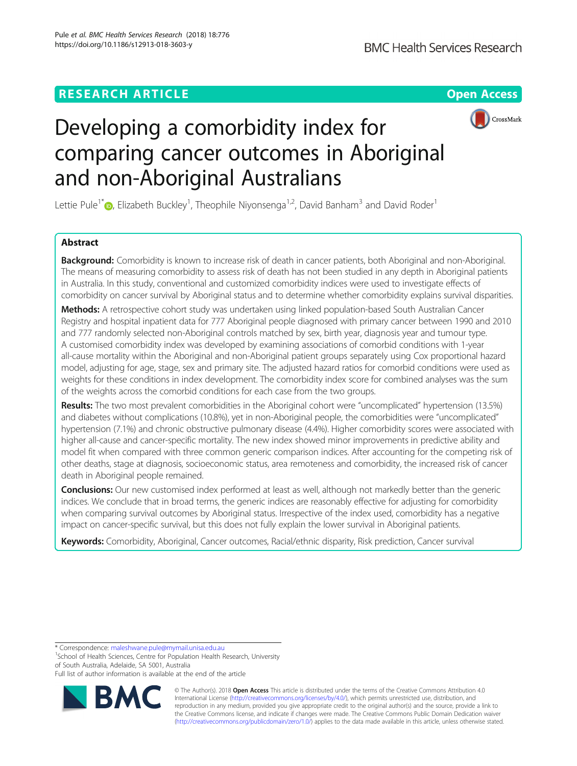# **RESEARCH ARTICLE Example 2018 12:30 THE Open Access**



# Developing a comorbidity index for comparing cancer outcomes in Aboriginal and non-Aboriginal Australians

Lettie Pule<sup>1\*</sup>®, Elizabeth Buckley<sup>1</sup>, Theophile Niyonsenga<sup>1,2</sup>, David Banham<sup>3</sup> and David Roder<sup>1</sup>

# Abstract

Background: Comorbidity is known to increase risk of death in cancer patients, both Aboriginal and non-Aboriginal. The means of measuring comorbidity to assess risk of death has not been studied in any depth in Aboriginal patients in Australia. In this study, conventional and customized comorbidity indices were used to investigate effects of comorbidity on cancer survival by Aboriginal status and to determine whether comorbidity explains survival disparities.

Methods: A retrospective cohort study was undertaken using linked population-based South Australian Cancer Registry and hospital inpatient data for 777 Aboriginal people diagnosed with primary cancer between 1990 and 2010 and 777 randomly selected non-Aboriginal controls matched by sex, birth year, diagnosis year and tumour type. A customised comorbidity index was developed by examining associations of comorbid conditions with 1-year all-cause mortality within the Aboriginal and non-Aboriginal patient groups separately using Cox proportional hazard model, adjusting for age, stage, sex and primary site. The adjusted hazard ratios for comorbid conditions were used as weights for these conditions in index development. The comorbidity index score for combined analyses was the sum of the weights across the comorbid conditions for each case from the two groups.

Results: The two most prevalent comorbidities in the Aboriginal cohort were "uncomplicated" hypertension (13.5%) and diabetes without complications (10.8%), yet in non-Aboriginal people, the comorbidities were "uncomplicated" hypertension (7.1%) and chronic obstructive pulmonary disease (4.4%). Higher comorbidity scores were associated with higher all-cause and cancer-specific mortality. The new index showed minor improvements in predictive ability and model fit when compared with three common generic comparison indices. After accounting for the competing risk of other deaths, stage at diagnosis, socioeconomic status, area remoteness and comorbidity, the increased risk of cancer death in Aboriginal people remained.

**Conclusions:** Our new customised index performed at least as well, although not markedly better than the generic indices. We conclude that in broad terms, the generic indices are reasonably effective for adjusting for comorbidity when comparing survival outcomes by Aboriginal status. Irrespective of the index used, comorbidity has a negative impact on cancer-specific survival, but this does not fully explain the lower survival in Aboriginal patients.

Keywords: Comorbidity, Aboriginal, Cancer outcomes, Racial/ethnic disparity, Risk prediction, Cancer survival

\* Correspondence: [maleshwane.pule@mymail.unisa.edu.au](mailto:maleshwane.pule@mymail.unisa.edu.au) <sup>1</sup>

<sup>1</sup>School of Health Sciences, Centre for Population Health Research, University of South Australia, Adelaide, SA 5001, Australia

Full list of author information is available at the end of the article



© The Author(s). 2018 Open Access This article is distributed under the terms of the Creative Commons Attribution 4.0 International License [\(http://creativecommons.org/licenses/by/4.0/](http://creativecommons.org/licenses/by/4.0/)), which permits unrestricted use, distribution, and reproduction in any medium, provided you give appropriate credit to the original author(s) and the source, provide a link to the Creative Commons license, and indicate if changes were made. The Creative Commons Public Domain Dedication waiver [\(http://creativecommons.org/publicdomain/zero/1.0/](http://creativecommons.org/publicdomain/zero/1.0/)) applies to the data made available in this article, unless otherwise stated.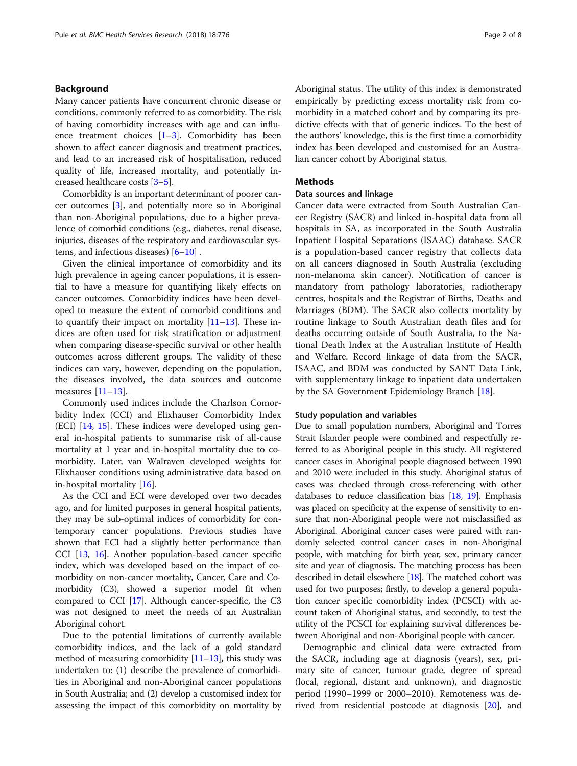# Background

Many cancer patients have concurrent chronic disease or conditions, commonly referred to as comorbidity. The risk of having comorbidity increases with age and can influence treatment choices [[1](#page-7-0)–[3](#page-7-0)]. Comorbidity has been shown to affect cancer diagnosis and treatment practices, and lead to an increased risk of hospitalisation, reduced quality of life, increased mortality, and potentially increased healthcare costs [[3](#page-7-0)–[5](#page-7-0)].

Comorbidity is an important determinant of poorer cancer outcomes [\[3\]](#page-7-0), and potentially more so in Aboriginal than non-Aboriginal populations, due to a higher prevalence of comorbid conditions (e.g., diabetes, renal disease, injuries, diseases of the respiratory and cardiovascular systems, and infectious diseases) [\[6](#page-7-0)–[10](#page-7-0)] .

Given the clinical importance of comorbidity and its high prevalence in ageing cancer populations, it is essential to have a measure for quantifying likely effects on cancer outcomes. Comorbidity indices have been developed to measure the extent of comorbid conditions and to quantify their impact on mortality  $[11-13]$  $[11-13]$  $[11-13]$  $[11-13]$  $[11-13]$ . These indices are often used for risk stratification or adjustment when comparing disease-specific survival or other health outcomes across different groups. The validity of these indices can vary, however, depending on the population, the diseases involved, the data sources and outcome measures [[11](#page-7-0)–[13](#page-7-0)].

Commonly used indices include the Charlson Comorbidity Index (CCI) and Elixhauser Comorbidity Index (ECI) [\[14](#page-7-0), [15\]](#page-7-0). These indices were developed using general in-hospital patients to summarise risk of all-cause mortality at 1 year and in-hospital mortality due to comorbidity. Later, van Walraven developed weights for Elixhauser conditions using administrative data based on in-hospital mortality [[16](#page-7-0)].

As the CCI and ECI were developed over two decades ago, and for limited purposes in general hospital patients, they may be sub-optimal indices of comorbidity for contemporary cancer populations. Previous studies have shown that ECI had a slightly better performance than CCI [\[13,](#page-7-0) [16](#page-7-0)]. Another population-based cancer specific index, which was developed based on the impact of comorbidity on non-cancer mortality, Cancer, Care and Comorbidity (C3), showed a superior model fit when compared to CCI [\[17\]](#page-7-0). Although cancer-specific, the C3 was not designed to meet the needs of an Australian Aboriginal cohort.

Due to the potential limitations of currently available comorbidity indices, and the lack of a gold standard method of measuring comorbidity  $[11–13]$  $[11–13]$  $[11–13]$  $[11–13]$ , this study was undertaken to: (1) describe the prevalence of comorbidities in Aboriginal and non-Aboriginal cancer populations in South Australia; and (2) develop a customised index for assessing the impact of this comorbidity on mortality by Aboriginal status. The utility of this index is demonstrated empirically by predicting excess mortality risk from comorbidity in a matched cohort and by comparing its predictive effects with that of generic indices. To the best of the authors' knowledge, this is the first time a comorbidity index has been developed and customised for an Australian cancer cohort by Aboriginal status.

# **Methods**

# Data sources and linkage

Cancer data were extracted from South Australian Cancer Registry (SACR) and linked in-hospital data from all hospitals in SA, as incorporated in the South Australia Inpatient Hospital Separations (ISAAC) database. SACR is a population-based cancer registry that collects data on all cancers diagnosed in South Australia (excluding non-melanoma skin cancer). Notification of cancer is mandatory from pathology laboratories, radiotherapy centres, hospitals and the Registrar of Births, Deaths and Marriages (BDM). The SACR also collects mortality by routine linkage to South Australian death files and for deaths occurring outside of South Australia, to the National Death Index at the Australian Institute of Health and Welfare. Record linkage of data from the SACR, ISAAC, and BDM was conducted by SANT Data Link, with supplementary linkage to inpatient data undertaken by the SA Government Epidemiology Branch [[18\]](#page-7-0).

# Study population and variables

Due to small population numbers, Aboriginal and Torres Strait Islander people were combined and respectfully referred to as Aboriginal people in this study. All registered cancer cases in Aboriginal people diagnosed between 1990 and 2010 were included in this study. Aboriginal status of cases was checked through cross-referencing with other databases to reduce classification bias [\[18,](#page-7-0) [19\]](#page-7-0). Emphasis was placed on specificity at the expense of sensitivity to ensure that non-Aboriginal people were not misclassified as Aboriginal. Aboriginal cancer cases were paired with randomly selected control cancer cases in non-Aboriginal people, with matching for birth year, sex, primary cancer site and year of diagnosis. The matching process has been described in detail elsewhere [\[18\]](#page-7-0). The matched cohort was used for two purposes; firstly, to develop a general population cancer specific comorbidity index (PCSCI) with account taken of Aboriginal status, and secondly, to test the utility of the PCSCI for explaining survival differences between Aboriginal and non-Aboriginal people with cancer.

Demographic and clinical data were extracted from the SACR, including age at diagnosis (years), sex, primary site of cancer, tumour grade, degree of spread (local, regional, distant and unknown), and diagnostic period (1990–1999 or 2000–2010). Remoteness was derived from residential postcode at diagnosis [\[20](#page-7-0)], and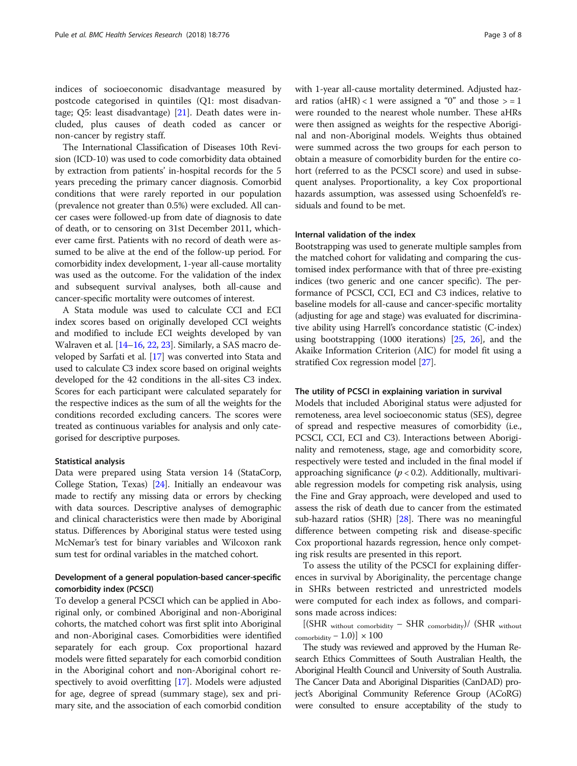indices of socioeconomic disadvantage measured by postcode categorised in quintiles (Q1: most disadvantage; Q5: least disadvantage) [\[21\]](#page-7-0). Death dates were included, plus causes of death coded as cancer or non-cancer by registry staff.

The International Classification of Diseases 10th Revision (ICD-10) was used to code comorbidity data obtained by extraction from patients' in-hospital records for the 5 years preceding the primary cancer diagnosis. Comorbid conditions that were rarely reported in our population (prevalence not greater than 0.5%) were excluded. All cancer cases were followed-up from date of diagnosis to date of death, or to censoring on 31st December 2011, whichever came first. Patients with no record of death were assumed to be alive at the end of the follow-up period. For comorbidity index development, 1-year all-cause mortality was used as the outcome. For the validation of the index and subsequent survival analyses, both all-cause and cancer-specific mortality were outcomes of interest.

A Stata module was used to calculate CCI and ECI index scores based on originally developed CCI weights and modified to include ECI weights developed by van Walraven et al. [\[14](#page-7-0)–[16](#page-7-0), [22,](#page-7-0) [23\]](#page-7-0). Similarly, a SAS macro developed by Sarfati et al. [\[17\]](#page-7-0) was converted into Stata and used to calculate C3 index score based on original weights developed for the 42 conditions in the all-sites C3 index. Scores for each participant were calculated separately for the respective indices as the sum of all the weights for the conditions recorded excluding cancers. The scores were treated as continuous variables for analysis and only categorised for descriptive purposes.

## Statistical analysis

Data were prepared using Stata version 14 (StataCorp, College Station, Texas) [\[24\]](#page-7-0). Initially an endeavour was made to rectify any missing data or errors by checking with data sources. Descriptive analyses of demographic and clinical characteristics were then made by Aboriginal status. Differences by Aboriginal status were tested using McNemar's test for binary variables and Wilcoxon rank sum test for ordinal variables in the matched cohort.

# Development of a general population-based cancer-specific comorbidity index (PCSCI)

To develop a general PCSCI which can be applied in Aboriginal only, or combined Aboriginal and non-Aboriginal cohorts, the matched cohort was first split into Aboriginal and non-Aboriginal cases. Comorbidities were identified separately for each group. Cox proportional hazard models were fitted separately for each comorbid condition in the Aboriginal cohort and non-Aboriginal cohort respectively to avoid overfitting [\[17\]](#page-7-0). Models were adjusted for age, degree of spread (summary stage), sex and primary site, and the association of each comorbid condition with 1-year all-cause mortality determined. Adjusted hazard ratios  $(aHR) < 1$  were assigned a "0" and those  $> = 1$ were rounded to the nearest whole number. These aHRs were then assigned as weights for the respective Aboriginal and non-Aboriginal models. Weights thus obtained were summed across the two groups for each person to obtain a measure of comorbidity burden for the entire cohort (referred to as the PCSCI score) and used in subsequent analyses. Proportionality, a key Cox proportional hazards assumption, was assessed using Schoenfeld's residuals and found to be met.

# Internal validation of the index

Bootstrapping was used to generate multiple samples from the matched cohort for validating and comparing the customised index performance with that of three pre-existing indices (two generic and one cancer specific). The performance of PCSCI, CCI, ECI and C3 indices, relative to baseline models for all-cause and cancer-specific mortality (adjusting for age and stage) was evaluated for discriminative ability using Harrell's concordance statistic (C-index) using bootstrapping (1000 iterations) [[25](#page-7-0), [26](#page-7-0)], and the Akaike Information Criterion (AIC) for model fit using a stratified Cox regression model [\[27\]](#page-7-0).

# The utility of PCSCI in explaining variation in survival

Models that included Aboriginal status were adjusted for remoteness, area level socioeconomic status (SES), degree of spread and respective measures of comorbidity (i.e., PCSCI, CCI, ECI and C3). Interactions between Aboriginality and remoteness, stage, age and comorbidity score, respectively were tested and included in the final model if approaching significance  $(p < 0.2)$ . Additionally, multivariable regression models for competing risk analysis, using the Fine and Gray approach, were developed and used to assess the risk of death due to cancer from the estimated sub-hazard ratios (SHR) [\[28\]](#page-7-0). There was no meaningful difference between competing risk and disease-specific Cox proportional hazards regression, hence only competing risk results are presented in this report.

To assess the utility of the PCSCI for explaining differences in survival by Aboriginality, the percentage change in SHRs between restricted and unrestricted models were computed for each index as follows, and comparisons made across indices:

 $[(SHR_{without\ comorbidity} - SHR_{comorbidity})/(SHR_{without\ comorbidity})]$ comorbidity  $-1.0$ )]  $\times 100$ 

The study was reviewed and approved by the Human Research Ethics Committees of South Australian Health, the Aboriginal Health Council and University of South Australia. The Cancer Data and Aboriginal Disparities (CanDAD) project's Aboriginal Community Reference Group (ACoRG) were consulted to ensure acceptability of the study to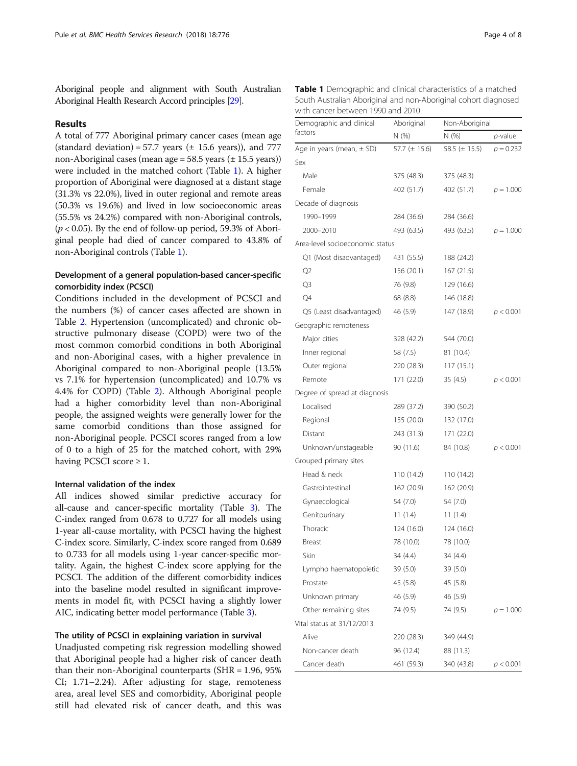Aboriginal people and alignment with South Australian Aboriginal Health Research Accord principles [\[29\]](#page-7-0).

# Results

A total of 777 Aboriginal primary cancer cases (mean age (standard deviation) = 57.7 years  $(\pm 15.6 \text{ years})$ ), and 777 non-Aboriginal cases (mean age = 58.5 years (± 15.5 years)) were included in the matched cohort (Table 1). A higher proportion of Aboriginal were diagnosed at a distant stage (31.3% vs 22.0%), lived in outer regional and remote areas (50.3% vs 19.6%) and lived in low socioeconomic areas (55.5% vs 24.2%) compared with non-Aboriginal controls,  $(p < 0.05)$ . By the end of follow-up period, 59.3% of Aboriginal people had died of cancer compared to 43.8% of non-Aboriginal controls (Table 1).

# Development of a general population-based cancer-specific comorbidity index (PCSCI)

Conditions included in the development of PCSCI and the numbers (%) of cancer cases affected are shown in Table [2.](#page-4-0) Hypertension (uncomplicated) and chronic obstructive pulmonary disease (COPD) were two of the most common comorbid conditions in both Aboriginal and non-Aboriginal cases, with a higher prevalence in Aboriginal compared to non-Aboriginal people (13.5% vs 7.1% for hypertension (uncomplicated) and 10.7% vs 4.4% for COPD) (Table [2](#page-4-0)). Although Aboriginal people had a higher comorbidity level than non-Aboriginal people, the assigned weights were generally lower for the same comorbid conditions than those assigned for non-Aboriginal people. PCSCI scores ranged from a low of 0 to a high of 25 for the matched cohort, with 29% having PCSCI score  $\geq 1$ .

## Internal validation of the index

All indices showed similar predictive accuracy for all-cause and cancer-specific mortality (Table [3](#page-5-0)). The C-index ranged from 0.678 to 0.727 for all models using 1-year all-cause mortality, with PCSCI having the highest C-index score. Similarly, C-index score ranged from 0.689 to 0.733 for all models using 1-year cancer-specific mortality. Again, the highest C-index score applying for the PCSCI. The addition of the different comorbidity indices into the baseline model resulted in significant improvements in model fit, with PCSCI having a slightly lower AIC, indicating better model performance (Table [3\)](#page-5-0).

# The utility of PCSCI in explaining variation in survival

Unadjusted competing risk regression modelling showed that Aboriginal people had a higher risk of cancer death than their non-Aboriginal counterparts  $(SHR = 1.96, 95\%)$ CI; 1.71–2.24). After adjusting for stage, remoteness area, areal level SES and comorbidity, Aboriginal people still had elevated risk of cancer death, and this was

Table 1 Demographic and clinical characteristics of a matched South Australian Aboriginal and non-Aboriginal cohort diagnosed with cancer between 1990 and 2010

| Demographic and clinical        | Aboriginal        | Non-Aboriginal    |             |  |
|---------------------------------|-------------------|-------------------|-------------|--|
| factors                         | N (%)             | N (%)             | p-value     |  |
| Age in years (mean, $\pm$ SD)   | 57.7 $(\pm 15.6)$ | 58.5 $(\pm 15.5)$ | $p = 0.232$ |  |
| Sex                             |                   |                   |             |  |
| Male                            | 375 (48.3)        | 375 (48.3)        |             |  |
| Female                          | 402 (51.7)        | 402 (51.7)        | $p = 1.000$ |  |
| Decade of diagnosis             |                   |                   |             |  |
| 1990-1999                       | 284 (36.6)        | 284 (36.6)        |             |  |
| 2000-2010                       | 493 (63.5)        | 493 (63.5)        | $p = 1.000$ |  |
| Area-level socioeconomic status |                   |                   |             |  |
| Q1 (Most disadvantaged)         | 431 (55.5)        | 188 (24.2)        |             |  |
| Q2                              | 156 (20.1)        | 167(21.5)         |             |  |
| Q3                              | 76 (9.8)          | 129 (16.6)        |             |  |
| Q4                              | 68 (8.8)          | 146 (18.8)        |             |  |
| Q5 (Least disadvantaged)        | 46 (5.9)          | 147 (18.9)        | p < 0.001   |  |
| Geographic remoteness           |                   |                   |             |  |
| Major cities                    | 328 (42.2)        | 544 (70.0)        |             |  |
| Inner regional                  | 58 (7.5)          | 81 (10.4)         |             |  |
| Outer regional                  | 220 (28.3)        | 117(15.1)         |             |  |
| Remote                          | 171 (22.0)        | 35 (4.5)          | p < 0.001   |  |
| Degree of spread at diagnosis   |                   |                   |             |  |
| Localised                       | 289 (37.2)        | 390 (50.2)        |             |  |
| Regional                        | 155 (20.0)        | 132 (17.0)        |             |  |
| Distant                         | 243 (31.3)        | 171 (22.0)        |             |  |
| Unknown/unstageable             | 90 (11.6)         | 84 (10.8)         | p < 0.001   |  |
| Grouped primary sites           |                   |                   |             |  |
| Head & neck                     | 110 (14.2)        | 110 (14.2)        |             |  |
| Gastrointestinal                | 162 (20.9)        | 162 (20.9)        |             |  |
| Gynaecological                  | 54 (7.0)          | 54 (7.0)          |             |  |
| Genitourinary                   | 11 $(1.4)$        | 11 $(1.4)$        |             |  |
| Thoracic                        | 124 (16.0)        | 124 (16.0)        |             |  |
| <b>Breast</b>                   | 78 (10.0)         | 78 (10.0)         |             |  |
| Skin                            | 34 (4.4)          | 34 (4.4)          |             |  |
| Lympho haematopoietic           | 39 (5.0)          | 39 (5.0)          |             |  |
| Prostate                        | 45 (5.8)          | 45 (5.8)          |             |  |
| Unknown primary                 | 46 (5.9)          | 46 (5.9)          |             |  |
| Other remaining sites           | 74 (9.5)          | 74 (9.5)          | $p = 1.000$ |  |
| Vital status at 31/12/2013      |                   |                   |             |  |
| Alive                           | 220 (28.3)        | 349 (44.9)        |             |  |
| Non-cancer death                | 96 (12.4)         | 88 (11.3)         |             |  |
| Cancer death                    | 461 (59.3)        | 340 (43.8)        | p < 0.001   |  |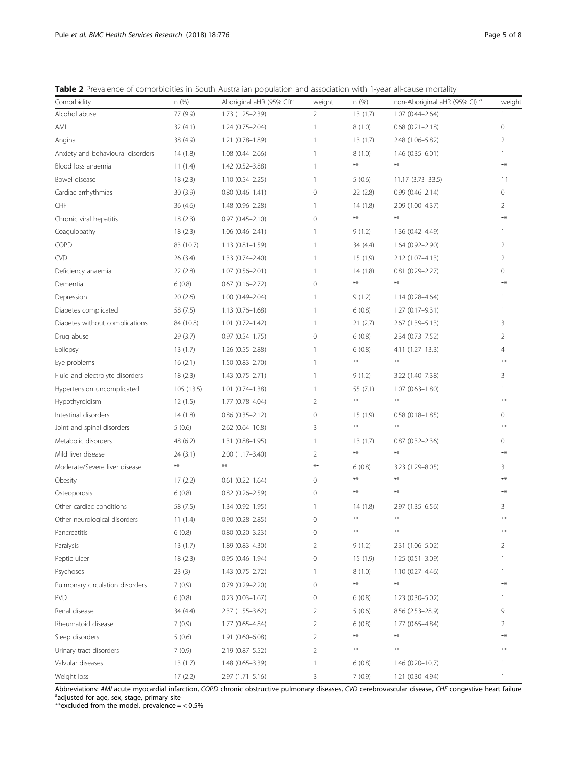<span id="page-4-0"></span>Table 2 Prevalence of comorbidities in South Australian population and association with 1-year all-cause mortality

| Comorbidity                       | n (%)      | Aboriginal aHR (95% CI) <sup>a</sup> | weight         | n(%)         | non-Aboriginal aHR (95% CI) <sup>a</sup> | weight         |
|-----------------------------------|------------|--------------------------------------|----------------|--------------|------------------------------------------|----------------|
| Alcohol abuse                     | 77 (9.9)   | 1.73 (1.25 - 2.39)                   | 2              | 13(1.7)      | $1.07(0.44 - 2.64)$                      |                |
| AMI                               | 32(4.1)    | $1.24(0.75 - 2.04)$                  | 1              | 8(1.0)       | $0.68$ $(0.21 - 2.18)$                   | $\mathbf{0}$   |
| Angina                            | 38 (4.9)   | $1.21(0.78 - 1.89)$                  | 1              | 13(1.7)      | 2.48 (1.06-5.82)                         | 2              |
| Anxiety and behavioural disorders | 14(1.8)    | $1.08(0.44 - 2.66)$                  | 1              | 8(1.0)       | $1.46(0.35 - 6.01)$                      | 1              |
| Blood loss anaemia                | 11(1.4)    | $1.42(0.52 - 3.88)$                  | 1              | $\star\star$ | $**$                                     | $**$           |
| Bowel disease                     | 18(2.3)    | $1.10(0.54 - 2.25)$                  | 1              | 5(0.6)       | 11.17 (3.73-33.5)                        | 11             |
| Cardiac arrhythmias               | 30 (3.9)   | $0.80(0.46 - 1.41)$                  | $\mathbf 0$    | 22(2.8)      | $0.99(0.46 - 2.14)$                      | $\mathbf 0$    |
| CHF                               | 36 (4.6)   | 1.48 (0.96-2.28)                     | $\mathbf{1}$   | 14(1.8)      | 2.09 (1.00-4.37)                         | $\overline{2}$ |
| Chronic viral hepatitis           | 18(2.3)    | $0.97(0.45 - 2.10)$                  | $\mathbf{0}$   | $**$         | $**$                                     | **             |
| Coagulopathy                      | 18(2.3)    | $1.06(0.46 - 2.41)$                  | 1              | 9(1.2)       | 1.36 (0.42-4.49)                         | 1              |
| COPD                              | 83 (10.7)  | $1.13(0.81 - 1.59)$                  | 1              | 34 (4.4)     | $1.64(0.92 - 2.90)$                      | 2              |
| <b>CVD</b>                        | 26 (3.4)   | $1.33(0.74 - 2.40)$                  | 1              | 15(1.9)      | $2.12(1.07 - 4.13)$                      | $\overline{2}$ |
| Deficiency anaemia                | 22(2.8)    | $1.07(0.56 - 2.01)$                  | 1              | 14(1.8)      | $0.81(0.29 - 2.27)$                      | 0              |
| Dementia                          | 6(0.8)     | $0.67(0.16 - 2.72)$                  | $\mathbf{0}$   | $**$         | $\pmb{\ast}\pmb{\ast}$                   |                |
| Depression                        | 20(2.6)    | $1.00(0.49 - 2.04)$                  | 1              | 9(1.2)       | $1.14(0.28 - 4.64)$                      | 1              |
| Diabetes complicated              | 58 (7.5)   | $1.13(0.76 - 1.68)$                  | 1              | 6(0.8)       | $1.27(0.17-9.31)$                        | 1              |
| Diabetes without complications    | 84 (10.8)  | $1.01(0.72 - 1.42)$                  | 1              | 21(2.7)      | 2.67 (1.39-5.13)                         | 3              |
| Drug abuse                        | 29 (3.7)   | $0.97(0.54 - 1.75)$                  | $\mathbf{0}$   | 6(0.8)       | $2.34(0.73 - 7.52)$                      | 2              |
| Epilepsy                          | 13(1.7)    | $1.26(0.55 - 2.88)$                  | 1              | 6(0.8)       | 4.11 (1.27–13.3)                         | 4              |
| Eye problems                      | 16(2.1)    | $1.50(0.83 - 2.70)$                  | 1              | $\star\star$ | $\pmb{\ast}\pmb{\ast}$                   | $**$           |
| Fluid and electrolyte disorders   | 18(2.3)    | $1.43(0.75 - 2.71)$                  | $\mathbf{1}$   | 9(1.2)       | 3.22 (1.40-7.38)                         | 3              |
| Hypertension uncomplicated        | 105 (13.5) | $1.01(0.74 - 1.38)$                  | 1              | 55 (7.1)     | $1.07(0.63 - 1.80)$                      | 1              |
| Hypothyroidism                    | 12(1.5)    | 1.77 (0.78-4.04)                     | $\overline{2}$ | $\star\star$ | $\pmb{\ast}\pmb{\ast}$                   |                |
| Intestinal disorders              | 14(1.8)    | $0.86$ $(0.35 - 2.12)$               | $\mathbf 0$    | 15(1.9)      | $0.58$ $(0.18 - 1.85)$                   | $\Omega$       |
| Joint and spinal disorders        | 5(0.6)     | 2.62 (0.64-10.8)                     | 3              | $\star\star$ | $\pmb{\ast}\pmb{\ast}$                   |                |
| Metabolic disorders               | 48 (6.2)   | $1.31(0.88 - 1.95)$                  | 1              | 13(1.7)      | $0.87(0.32 - 2.36)$                      | $\Omega$       |
| Mild liver disease                | 24(3.1)    | $2.00(1.17 - 3.40)$                  | $\overline{2}$ | $\star\star$ | $***$                                    | $**$           |
| Moderate/Severe liver disease     | $**$       | $**$                                 | $**$           | 6(0.8)       | 3.23 (1.29-8.05)                         | 3              |
| Obesity                           | 17(2.2)    | $0.61(0.22 - 1.64)$                  | $\mathbf 0$    | $\star\star$ | $**$                                     |                |
| Osteoporosis                      | 6(0.8)     | $0.82$ (0.26-2.59)                   | $\mathbf{0}$   | $\star\star$ | $\star\star$                             | **             |
| Other cardiac conditions          | 58 (7.5)   | $1.34(0.92 - 1.95)$                  | -1             | 14(1.8)      | 2.97 (1.35-6.56)                         | 3              |
| Other neurological disorders      | 11(1.4)    | $0.90(0.28 - 2.85)$                  | $\mathbf{0}$   | $\star\star$ | $\star\star$                             | **             |
| Pancreatitis                      | 6(0.8)     | $0.80(0.20 - 3.23)$                  | 0              |              |                                          |                |
| Paralysis                         | 13(1.7)    | 1.89 (0.83-4.30)                     | 2              | 9(1.2)       | 2.31 (1.06-5.02)                         | 2              |
| Peptic ulcer                      | 18(2.3)    | $0.95(0.46 - 1.94)$                  | $\mathbf 0$    | 15(1.9)      | $1.25(0.51 - 3.09)$                      | 1              |
| Psychoses                         | 23(3)      | $1.43(0.75 - 2.72)$                  | 1              | 8(1.0)       | $1.10(0.27 - 4.46)$                      | 1              |
| Pulmonary circulation disorders   | 7(0.9)     | $0.79(0.29 - 2.20)$                  | $\mathbf 0$    | $\star\star$ | $**$                                     | **             |
| <b>PVD</b>                        | 6(0.8)     | $0.23$ $(0.03 - 1.67)$               | 0              | 6(0.8)       | $1.23(0.30 - 5.02)$                      |                |
| Renal disease                     | 34 (4.4)   | $2.37(1.55 - 3.62)$                  | $\overline{2}$ | 5(0.6)       | 8.56 (2.53-28.9)                         | 9              |
| Rheumatoid disease                | 7(0.9)     | 1.77 (0.65-4.84)                     | $\overline{2}$ | 6(0.8)       | 1.77 (0.65-4.84)                         | 2              |
| Sleep disorders                   | 5(0.6)     | $1.91(0.60 - 6.08)$                  | 2              | $\star\star$ | $**$                                     | **             |
| Urinary tract disorders           | 7(0.9)     | $2.19(0.87 - 5.52)$                  | $\overline{2}$ | **           | $***$                                    |                |
| Valvular diseases                 | 13(1.7)    | 1.48 (0.65-3.39)                     | $\mathbf{1}$   | 6(0.8)       | $1.46(0.20 - 10.7)$                      | -1             |
| Weight loss                       | 17(2.2)    | $2.97(1.71 - 5.16)$                  | 3              | 7(0.9)       | 1.21 (0.30-4.94)                         | $\overline{1}$ |

Abbreviations: AMI acute myocardial infarction, COPD chronic obstructive pulmonary diseases, CVD cerebrovascular disease, CHF congestive heart failure<br><sup>a</sup>adjusted for age, sex, stage, primary site

\*\*excluded from the model, prevalence = < 0.5%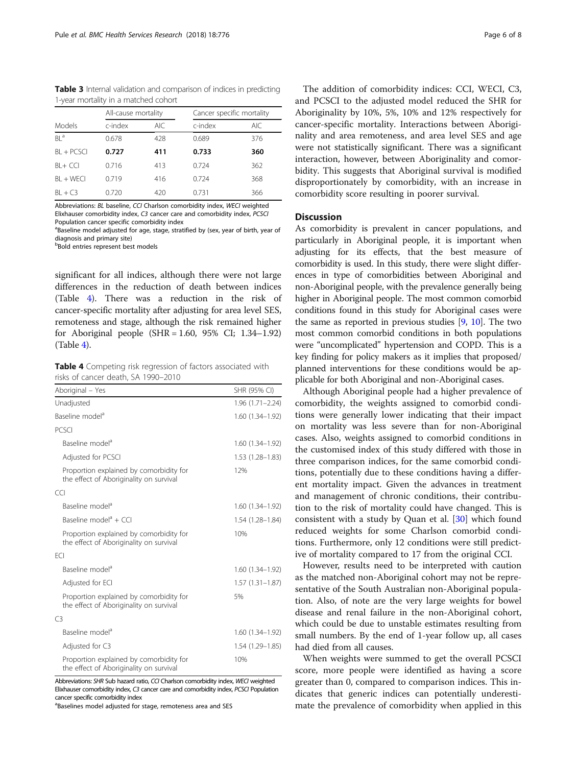<span id="page-5-0"></span>Table 3 Internal validation and comparison of indices in predicting 1-year mortality in a matched cohort

|                 | All-cause mortality |      |         | Cancer specific mortality |  |
|-----------------|---------------------|------|---------|---------------------------|--|
| Models          | c-index             | AIC. | c-index | <b>AIC</b>                |  |
| BI <sup>a</sup> | 0.678               | 428  | 0.689   | 376                       |  |
| $BI + PCSCI$    | 0.727               | 411  | 0.733   | 360                       |  |
| $BI + CCI$      | 0.716               | 413  | 0.724   | 362                       |  |
| $BI + WFCl$     | 0.719               | 416  | 0.724   | 368                       |  |
| $RI + C3$       | 0.720               | 420  | 0.731   | 366                       |  |

Abbreviations: BL baseline, CCI Charlson comorbidity index, WECI weighted Elixhauser comorbidity index, C3 cancer care and comorbidity index, PCSCI Population cancer specific comorbidity index

<sup>a</sup>Baseline model adjusted for age, stage, stratified by (sex, year of birth, year of diagnosis and primary site)

**b**Bold entries represent best models

significant for all indices, although there were not large differences in the reduction of death between indices (Table 4). There was a reduction in the risk of cancer-specific mortality after adjusting for area level SES, remoteness and stage, although the risk remained higher for Aboriginal people (SHR = 1.60, 95% CI; 1.34–1.92) (Table 4).

Table 4 Competing risk regression of factors associated with risks of cancer death, SA 1990–2010

| Aboriginal - Yes                                                                   | SHR (95% CI)        |
|------------------------------------------------------------------------------------|---------------------|
| Unadjusted                                                                         | $1.96(1.71 - 2.24)$ |
| Baseline model <sup>a</sup>                                                        | $1.60(1.34 - 1.92)$ |
| PCSCI                                                                              |                     |
| Baseline model <sup>a</sup>                                                        | $1.60(1.34 - 1.92)$ |
| Adjusted for PCSCI                                                                 | 1.53 (1.28-1.83)    |
| Proportion explained by comorbidity for<br>the effect of Aboriginality on survival | 12%                 |
| CCI                                                                                |                     |
| Baseline model <sup>a</sup>                                                        | $1.60(1.34 - 1.92)$ |
| Baseline model <sup>a</sup> + CCI                                                  | 1.54 (1.28-1.84)    |
| Proportion explained by comorbidity for<br>the effect of Aboriginality on survival | 10%                 |
| FCI                                                                                |                     |
| Baseline model <sup>a</sup>                                                        | 1.60 (1.34-1.92)    |
| Adjusted for ECI                                                                   | $1.57(1.31 - 1.87)$ |
| Proportion explained by comorbidity for<br>the effect of Aboriginality on survival | 5%                  |
| C <sub>3</sub>                                                                     |                     |
| Baseline model <sup>a</sup>                                                        | 1.60 (1.34-1.92)    |
| Adjusted for C3                                                                    | 1.54 (1.29-1.85)    |
| Proportion explained by comorbidity for<br>the effect of Aboriginality on survival | 10%                 |

Abbreviations: SHR Sub hazard ratio, CCI Charlson comorbidity index, WECI weighted Elixhauser comorbidity index, C3 cancer care and comorbidity index, PCSCI Population cancer specific comorbidity index

<sup>a</sup>Baselines model adjusted for stage, remoteness area and SES

The addition of comorbidity indices: CCI, WECI, C3, and PCSCI to the adjusted model reduced the SHR for Aboriginality by 10%, 5%, 10% and 12% respectively for cancer-specific mortality. Interactions between Aboriginality and area remoteness, and area level SES and age were not statistically significant. There was a significant interaction, however, between Aboriginality and comorbidity. This suggests that Aboriginal survival is modified disproportionately by comorbidity, with an increase in comorbidity score resulting in poorer survival.

# **Discussion**

As comorbidity is prevalent in cancer populations, and particularly in Aboriginal people, it is important when adjusting for its effects, that the best measure of comorbidity is used. In this study, there were slight differences in type of comorbidities between Aboriginal and non-Aboriginal people, with the prevalence generally being higher in Aboriginal people. The most common comorbid conditions found in this study for Aboriginal cases were the same as reported in previous studies [[9,](#page-7-0) [10\]](#page-7-0). The two most common comorbid conditions in both populations were "uncomplicated" hypertension and COPD. This is a key finding for policy makers as it implies that proposed/ planned interventions for these conditions would be applicable for both Aboriginal and non-Aboriginal cases.

Although Aboriginal people had a higher prevalence of comorbidity, the weights assigned to comorbid conditions were generally lower indicating that their impact on mortality was less severe than for non-Aboriginal cases. Also, weights assigned to comorbid conditions in the customised index of this study differed with those in three comparison indices, for the same comorbid conditions, potentially due to these conditions having a different mortality impact. Given the advances in treatment and management of chronic conditions, their contribution to the risk of mortality could have changed. This is consistent with a study by Quan et al. [\[30](#page-7-0)] which found reduced weights for some Charlson comorbid conditions. Furthermore, only 12 conditions were still predictive of mortality compared to 17 from the original CCI.

However, results need to be interpreted with caution as the matched non-Aboriginal cohort may not be representative of the South Australian non-Aboriginal population. Also, of note are the very large weights for bowel disease and renal failure in the non-Aboriginal cohort, which could be due to unstable estimates resulting from small numbers. By the end of 1-year follow up, all cases had died from all causes.

When weights were summed to get the overall PCSCI score, more people were identified as having a score greater than 0, compared to comparison indices. This indicates that generic indices can potentially underestimate the prevalence of comorbidity when applied in this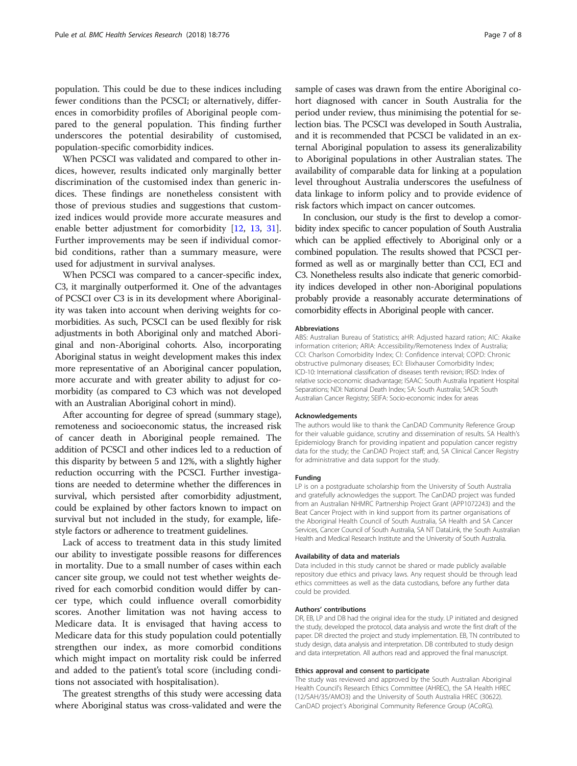population. This could be due to these indices including fewer conditions than the PCSCI; or alternatively, differences in comorbidity profiles of Aboriginal people compared to the general population. This finding further underscores the potential desirability of customised, population-specific comorbidity indices.

When PCSCI was validated and compared to other indices, however, results indicated only marginally better discrimination of the customised index than generic indices. These findings are nonetheless consistent with those of previous studies and suggestions that customized indices would provide more accurate measures and enable better adjustment for comorbidity [[12](#page-7-0), [13](#page-7-0), [31](#page-7-0)]. Further improvements may be seen if individual comorbid conditions, rather than a summary measure, were used for adjustment in survival analyses.

When PCSCI was compared to a cancer-specific index, C3, it marginally outperformed it. One of the advantages of PCSCI over C3 is in its development where Aboriginality was taken into account when deriving weights for comorbidities. As such, PCSCI can be used flexibly for risk adjustments in both Aboriginal only and matched Aboriginal and non-Aboriginal cohorts. Also, incorporating Aboriginal status in weight development makes this index more representative of an Aboriginal cancer population, more accurate and with greater ability to adjust for comorbidity (as compared to C3 which was not developed with an Australian Aboriginal cohort in mind).

After accounting for degree of spread (summary stage), remoteness and socioeconomic status, the increased risk of cancer death in Aboriginal people remained. The addition of PCSCI and other indices led to a reduction of this disparity by between 5 and 12%, with a slightly higher reduction occurring with the PCSCI. Further investigations are needed to determine whether the differences in survival, which persisted after comorbidity adjustment, could be explained by other factors known to impact on survival but not included in the study, for example, lifestyle factors or adherence to treatment guidelines.

Lack of access to treatment data in this study limited our ability to investigate possible reasons for differences in mortality. Due to a small number of cases within each cancer site group, we could not test whether weights derived for each comorbid condition would differ by cancer type, which could influence overall comorbidity scores. Another limitation was not having access to Medicare data. It is envisaged that having access to Medicare data for this study population could potentially strengthen our index, as more comorbid conditions which might impact on mortality risk could be inferred and added to the patient's total score (including conditions not associated with hospitalisation).

The greatest strengths of this study were accessing data where Aboriginal status was cross-validated and were the

sample of cases was drawn from the entire Aboriginal cohort diagnosed with cancer in South Australia for the period under review, thus minimising the potential for selection bias. The PCSCI was developed in South Australia, and it is recommended that PCSCI be validated in an external Aboriginal population to assess its generalizability to Aboriginal populations in other Australian states. The availability of comparable data for linking at a population level throughout Australia underscores the usefulness of data linkage to inform policy and to provide evidence of risk factors which impact on cancer outcomes.

In conclusion, our study is the first to develop a comorbidity index specific to cancer population of South Australia which can be applied effectively to Aboriginal only or a combined population. The results showed that PCSCI performed as well as or marginally better than CCI, ECI and C3. Nonetheless results also indicate that generic comorbidity indices developed in other non-Aboriginal populations probably provide a reasonably accurate determinations of comorbidity effects in Aboriginal people with cancer.

#### Abbreviations

ABS: Australian Bureau of Statistics; aHR: Adjusted hazard ration; AIC: Akaike information criterion; ARIA: Accessibility/Remoteness Index of Australia; CCI: Charlson Comorbidity Index; CI: Confidence interval; COPD: Chronic obstructive pulmonary diseases; ECI: Elixhauser Comorbidity Index; ICD-10: International classification of diseases tenth revision; IRSD: Index of relative socio-economic disadvantage; ISAAC: South Australia Inpatient Hospital Separations; NDI: National Death Index; SA: South Australia; SACR: South Australian Cancer Registry; SEIFA: Socio-economic index for areas

#### Acknowledgements

The authors would like to thank the CanDAD Community Reference Group for their valuable guidance, scrutiny and dissemination of results. SA Health's Epidemiology Branch for providing inpatient and population cancer registry data for the study; the CanDAD Project staff; and, SA Clinical Cancer Registry for administrative and data support for the study.

#### Funding

LP is on a postgraduate scholarship from the University of South Australia and gratefully acknowledges the support. The CanDAD project was funded from an Australian NHMRC Partnership Project Grant (APP1072243) and the Beat Cancer Project with in kind support from its partner organisations of the Aboriginal Health Council of South Australia, SA Health and SA Cancer Services, Cancer Council of South Australia, SA NT DataLink, the South Australian Health and Medical Research Institute and the University of South Australia.

#### Availability of data and materials

Data included in this study cannot be shared or made publicly available repository due ethics and privacy laws. Any request should be through lead ethics committees as well as the data custodians, before any further data could be provided.

#### Authors' contributions

DR, EB, LP and DB had the original idea for the study. LP initiated and designed the study, developed the protocol, data analysis and wrote the first draft of the paper. DR directed the project and study implementation. EB, TN contributed to study design, data analysis and interpretation. DB contributed to study design and data interpretation. All authors read and approved the final manuscript.

#### Ethics approval and consent to participate

The study was reviewed and approved by the South Australian Aboriginal Health Council's Research Ethics Committee (AHREC), the SA Health HREC (12/SAH/35/AMO3) and the University of South Australia HREC (30622). CanDAD project's Aboriginal Community Reference Group (ACoRG).